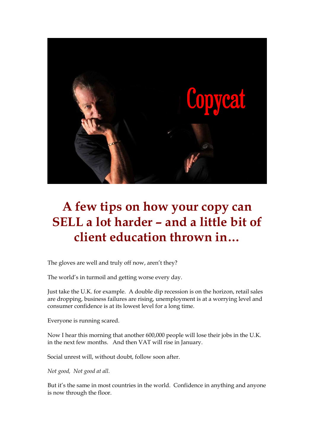

# **A few tips on how your copy can SELL a lot harder – and a little bit of client education thrown in…**

The gloves are well and truly off now, aren't they?

The world's in turmoil and getting worse every day.

Just take the U.K. for example. A double dip recession is on the horizon, retail sales are dropping, business failures are rising, unemployment is at a worrying level and consumer confidence is at its lowest level for a long time.

Everyone is running scared.

Now I hear this morning that another 600,000 people will lose their jobs in the U.K. in the next few months. And then VAT will rise in January.

Social unrest will, without doubt, follow soon after.

*Not good, Not good at all.* 

But it's the same in most countries in the world. Confidence in anything and anyone is now through the floor.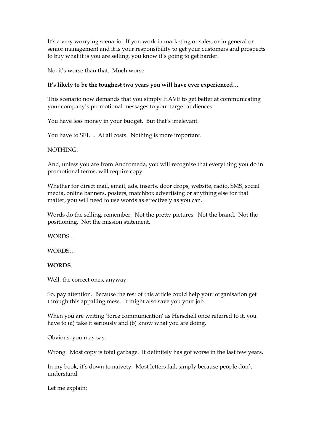It's a very worrying scenario. If you work in marketing or sales, or in general or senior management and it is your responsibility to get your customers and prospects to buy what it is you are selling, you know it's going to get harder.

No, it's worse than that. Much worse.

### **It's likely to be the toughest two years you will have ever experienced…**

This scenario now demands that you simply HAVE to get better at communicating your company's promotional messages to your target audiences.

You have less money in your budget. But that's irrelevant.

You have to SELL. At all costs. Nothing is more important.

#### NOTHING.

And, unless you are from Andromeda, you will recognise that everything you do in promotional terms, will require copy.

Whether for direct mail, email, ads, inserts, door drops, website, radio, SMS, social media, online banners, posters, matchbox advertising or anything else for that matter, you will need to use words as effectively as you can.

Words do the selling, remember. Not the pretty pictures. Not the brand. Not the positioning. Not the mission statement.

WORDS…

WORDS…

#### **WORDS**.

Well, the correct ones, anyway.

So, pay attention. Because the rest of this article could help your organisation get through this appalling mess. It might also save you your job.

When you are writing 'force communication' as Herschell once referred to it, you have to (a) take it seriously and (b) know what you are doing.

Obvious, you may say.

Wrong. Most copy is total garbage. It definitely has got worse in the last few years.

In my book, it's down to naivety. Most letters fail, simply because people don't understand.

Let me explain: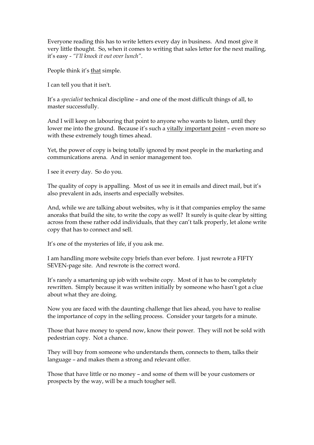Everyone reading this has to write letters every day in business. And most give it very little thought. So, when it comes to writing that sales letter for the next mailing, it's easy - *"I'll knock it out over lunch".*

People think it's that simple.

I can tell you that it isn't.

It's a *specialist* technical discipline – and one of the most difficult things of all, to master successfully.

And I will keep on labouring that point to anyone who wants to listen, until they lower me into the ground. Because it's such a vitally important point – even more so with these extremely tough times ahead.

Yet, the power of copy is being totally ignored by most people in the marketing and communications arena. And in senior management too.

I see it every day. So do you.

The quality of copy is appalling. Most of us see it in emails and direct mail, but it's also prevalent in ads, inserts and especially websites.

And, while we are talking about websites, why is it that companies employ the same anoraks that build the site, to write the copy as well? It surely is quite clear by sitting across from these rather odd individuals, that they can't talk properly, let alone write copy that has to connect and sell.

It's one of the mysteries of life, if you ask me.

I am handling more website copy briefs than ever before. I just rewrote a FIFTY SEVEN-page site. And rewrote is the correct word.

It's rarely a smartening up job with website copy. Most of it has to be completely rewritten. Simply because it was written initially by someone who hasn't got a clue about what they are doing.

Now you are faced with the daunting challenge that lies ahead, you have to realise the importance of copy in the selling process. Consider your targets for a minute.

Those that have money to spend now, know their power. They will not be sold with pedestrian copy. Not a chance.

They will buy from someone who understands them, connects to them, talks their language – and makes them a strong and relevant offer.

Those that have little or no money – and some of them will be your customers or prospects by the way, will be a much tougher sell.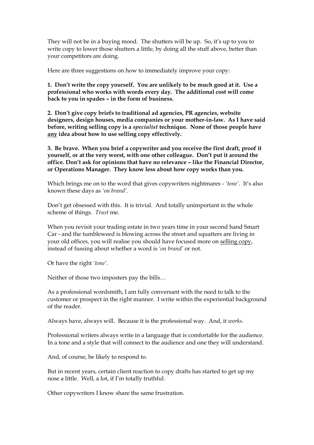They will not be in a buying mood. The shutters will be up. So, it's up to you to write copy to lower those shutters a little, by doing all the stuff above, better than your competitors are doing.

Here are three suggestions on how to immediately improve your copy:

**1. Don't write the copy yourself. You are unlikely to be much good at it. Use a professional who works with words every day. The additional cost will come back to you in spades – in the form of business.** 

**2. Don't give copy briefs to traditional ad agencies, PR agencies, website designers, design houses, media companies or your mother-in-law. As I have said before, writing selling copy is a** *specialist* **technique. None of those people have any idea about how to use selling copy effectively.** 

**3. Be brave. When you brief a copywriter and you receive the first draft, proof it yourself, or at the very worst, with one other colleague. Don't put it around the office. Don't ask for opinions that have no relevance – like the Financial Director, or Operations Manager. They know less about how copy works than you.** 

Which brings me on to the word that gives copywriters nightmares - *'tone'*. It's also known these days as *'on brand'.*

Don't get obsessed with this. It is trivial. And totally unimportant in the whole scheme of things. *Trust* me.

When you revisit your trading estate in two years time in your second hand Smart Car - and the tumbleweed is blowing across the street and squatters are living in your old offices, you will realise you should have focused more on selling copy, instead of fussing about whether a word is *'on brand'* or not.

Or have the right *'tone'*.

Neither of those two imposters pay the bills…

As a professional wordsmith, I am fully conversant with the need to talk to the customer or prospect in the right manner. I write within the experiential background of the reader.

Always have, always will. Because it is the professional way. And, it *works.* 

Professional writers always write in a language that is comfortable for the audience. In a tone and a style that will connect to the audience and one they will understand.

And, of course, be likely to respond to.

But in recent years, certain client reaction to copy drafts has started to get up my nose a little. Well, a lot, if I'm totally truthful.

Other copywriters I know share the same frustration.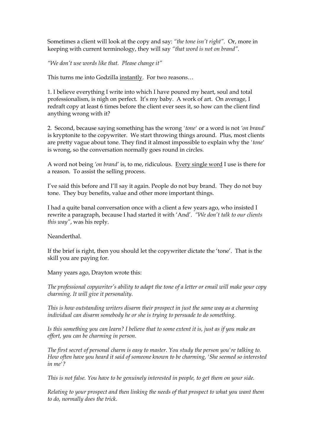Sometimes a client will look at the copy and say: *"the tone isn't right".* Or, more in keeping with current terminology, they will say *"that word is not on brand".*

*"We don't use words like that. Please change it"* 

This turns me into Godzilla instantly. For two reasons...

1. I believe everything I write into which I have poured my heart, soul and total professionalism, is nigh on perfect. It's my baby. A work of art. On average, I redraft copy at least 6 times before the client ever sees it, so how can the client find anything wrong with it?

2. Second, because saying something has the wrong *'tone'* or a word is not *'on brand'* is kryptonite to the copywriter. We start throwing things around. Plus, most clients are pretty vague about tone. They find it almost impossible to explain why the *'tone'* is wrong, so the conversation normally goes round in circles.

A word not being *'on brand'* is, to me, ridiculous. Every single word I use is there for a reason. To assist the selling process.

I've said this before and I'll say it again. People do not buy brand. They do not buy tone. They buy benefits, value and other more important things.

I had a quite banal conversation once with a client a few years ago, who insisted I rewrite a paragraph, because I had started it with 'And'. *"We don't talk to our clients this way"*, was his reply.

Neanderthal.

If the brief is right, then you should let the copywriter dictate the 'tone'. That is the skill you are paying for.

Many years ago, Drayton wrote this:

*The professional copywriter's ability to adapt the tone of a letter or email will make your copy charming. It will give it personality.* 

*This is how outstanding writers disarm their prospect in just the same way as a charming individual can disarm somebody he or she is trying to persuade to do something.* 

*Is this something you can learn? I believe that to some extent it is, just as if you make an effort, you can be charming in person.* 

*The first secret of personal charm is easy to master. You study the person you're talking to. How often have you heard it said of someone known to be charming, 'She seemed so interested in me'?* 

*This is not false. You have to be genuinely interested in people, to get them on your side.* 

*Relating to your prospect and then linking the needs of that prospect to what you want them to do, normally does the trick.*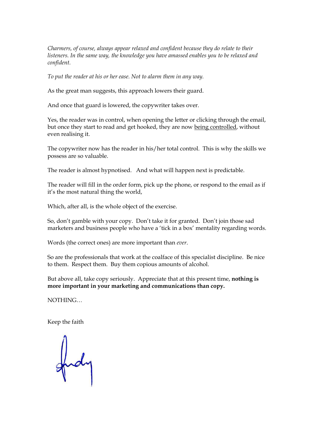*Charmers, of course, always appear relaxed and confident because they do relate to their listeners. In the same way, the knowledge you have amassed enables you to be relaxed and confident.* 

*To put the reader at his or her ease. Not to alarm them in any way.* 

As the great man suggests, this approach lowers their guard.

And once that guard is lowered, the copywriter takes over.

Yes, the reader was in control, when opening the letter or clicking through the email, but once they start to read and get hooked, they are now being controlled, without even realising it.

The copywriter now has the reader in his/her total control. This is why the skills we possess are so valuable.

The reader is almost hypnotised. And what will happen next is predictable.

The reader will fill in the order form, pick up the phone, or respond to the email as if it's the most natural thing the world,

Which, after all, is the whole object of the exercise.

So, don't gamble with your copy. Don't take it for granted. Don't join those sad marketers and business people who have a 'tick in a box' mentality regarding words.

Words (the correct ones) are more important than *ever*.

So are the professionals that work at the coalface of this specialist discipline. Be nice to them. Respect them. Buy them copious amounts of alcohol.

But above all, take copy seriously. Appreciate that at this present time, **nothing is more important in your marketing and communications than copy.** 

NOTHING…

Keep the faith

fundy